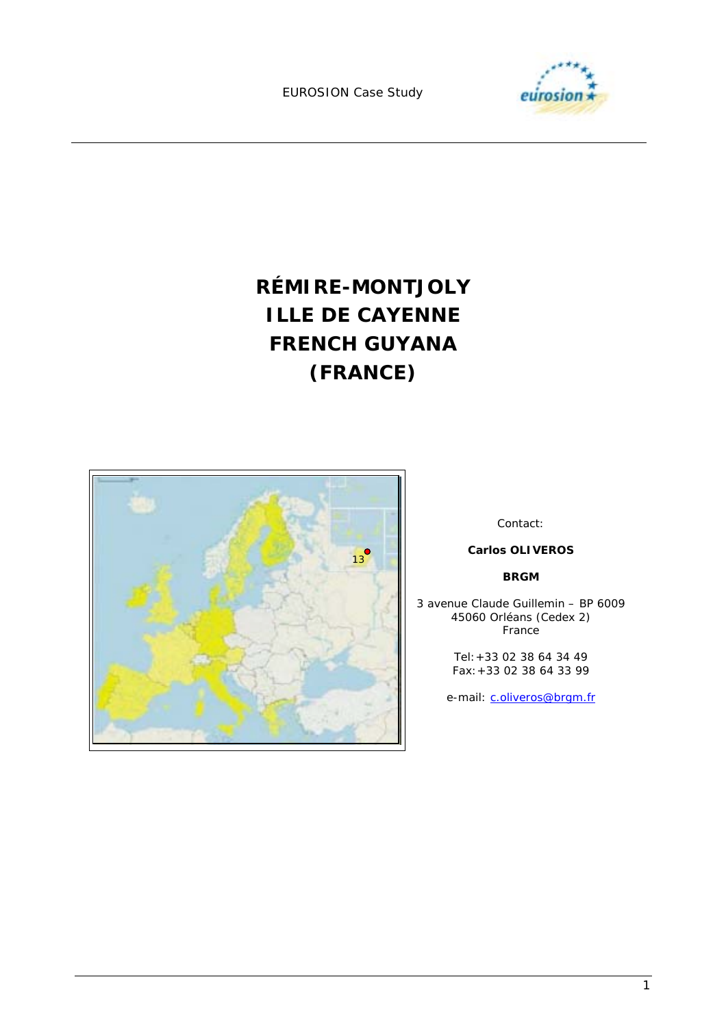

**RÉMIRE-MONTJOLY ILLE DE CAYENNE FRENCH GUYANA (FRANCE)** 



Contact:

#### **Carlos OLIVEROS**

#### **BRGM**

3 avenue Claude Guillemin – BP 6009 45060 Orléans (Cedex 2) France

> Tel:+33 02 38 64 34 49 Fax:+33 02 38 64 33 99

e-mail: c.oliveros@brgm.fr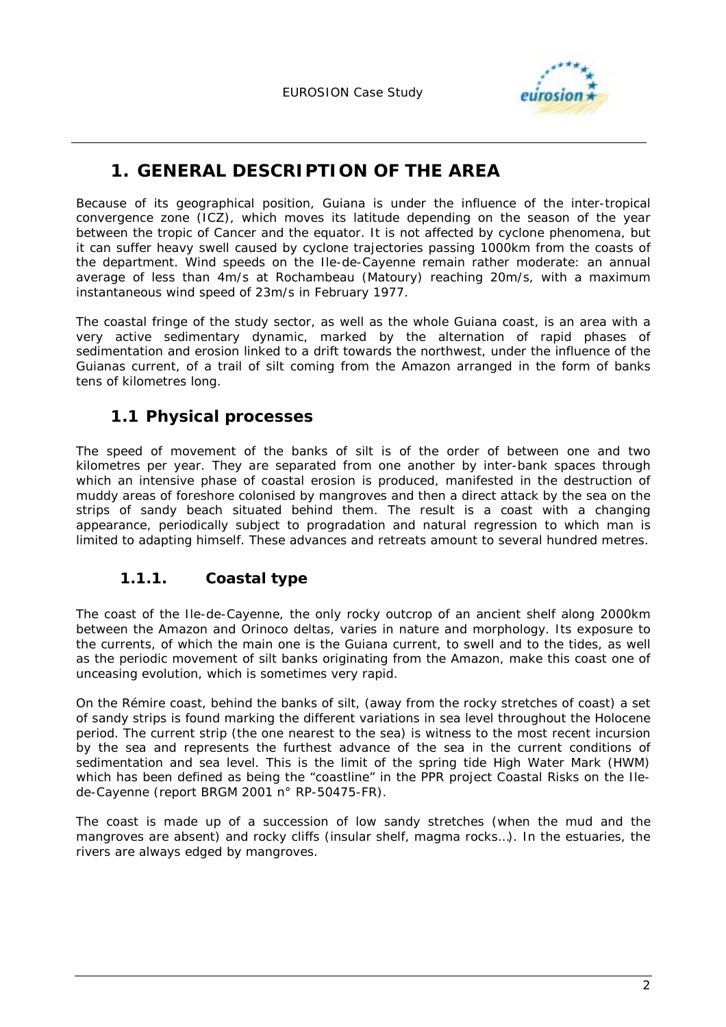

# **1. GENERAL DESCRIPTION OF THE AREA**

Because of its geographical position, Guiana is under the influence of the inter-tropical convergence zone (ICZ), which moves its latitude depending on the season of the year between the tropic of Cancer and the equator. It is not affected by cyclone phenomena, but it can suffer heavy swell caused by cyclone trajectories passing 1000km from the coasts of the department. Wind speeds on the Ile-de-Cayenne remain rather moderate: an annual average of less than 4m/s at Rochambeau (Matoury) reaching 20m/s, with a maximum instantaneous wind speed of 23m/s in February 1977.

The coastal fringe of the study sector, as well as the whole Guiana coast, is an area with a very active sedimentary dynamic, marked by the alternation of rapid phases of sedimentation and erosion linked to a drift towards the northwest, under the influence of the Guianas current, of a trail of silt coming from the Amazon arranged in the form of banks tens of kilometres long.

## **1.1 Physical processes**

The speed of movement of the banks of silt is of the order of between one and two kilometres per year. They are separated from one another by inter-bank spaces through which an intensive phase of coastal erosion is produced, manifested in the destruction of muddy areas of foreshore colonised by mangroves and then a direct attack by the sea on the strips of sandy beach situated behind them. The result is a coast with a changing appearance, periodically subject to progradation and natural regression to which man is limited to adapting himself. These advances and retreats amount to several hundred metres.

### **1.1.1. Coastal type**

The coast of the Ile-de-Cayenne, the only rocky outcrop of an ancient shelf along 2000km between the Amazon and Orinoco deltas, varies in nature and morphology. Its exposure to the currents, of which the main one is the Guiana current, to swell and to the tides, as well as the periodic movement of silt banks originating from the Amazon, make this coast one of unceasing evolution, which is sometimes very rapid.

On the Rémire coast, behind the banks of silt, (away from the rocky stretches of coast) a set of sandy strips is found marking the different variations in sea level throughout the Holocene period. The current strip (the one nearest to the sea) is witness to the most recent incursion by the sea and represents the furthest advance of the sea in the current conditions of sedimentation and sea level. This is the limit of the spring tide High Water Mark (HWM) which has been defined as being the "coastline" in the PPR project Coastal Risks on the Ilede-Cayenne (report BRGM 2001 n° RP-50475-FR).

The coast is made up of a succession of low sandy stretches (when the mud and the mangroves are absent) and rocky cliffs (insular shelf, magma rocks…). In the estuaries, the rivers are always edged by mangroves.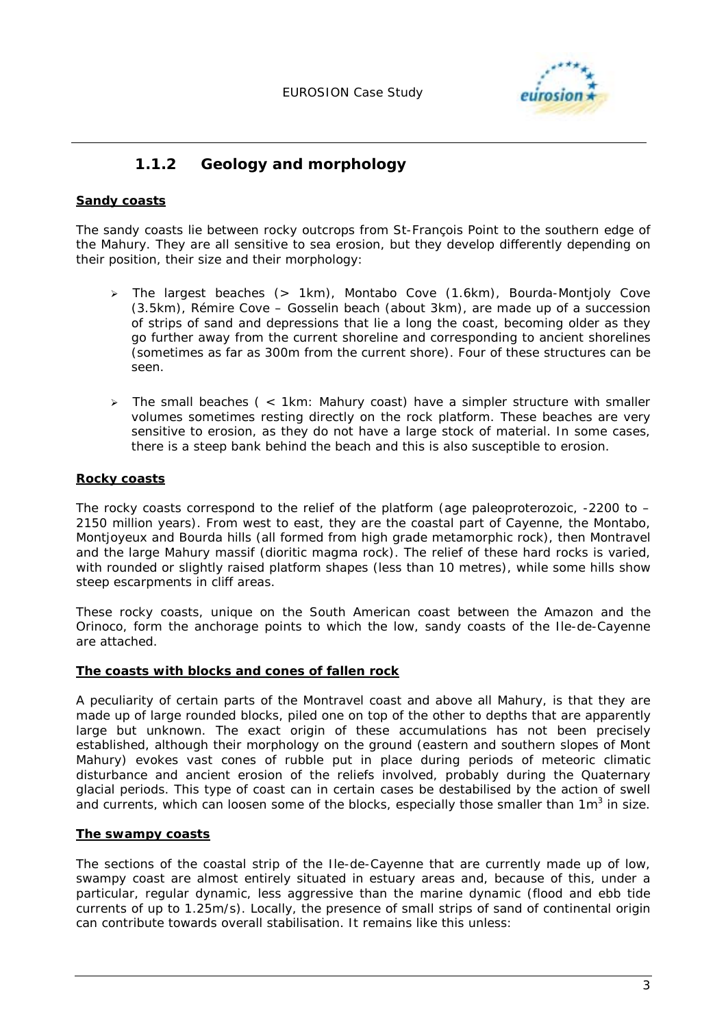

### **1.1.2 Geology and morphology**

### **Sandy coasts**

The sandy coasts lie between rocky outcrops from St-François Point to the southern edge of the Mahury. They are all sensitive to sea erosion, but they develop differently depending on their position, their size and their morphology:

- > The largest beaches (> 1km), Montabo Cove (1.6km), Bourda-Montjoly Cove (3.5km), Rémire Cove – Gosselin beach (about 3km), are made up of a succession of strips of sand and depressions that lie a long the coast, becoming older as they go further away from the current shoreline and corresponding to ancient shorelines (sometimes as far as 300m from the current shore). Four of these structures can be seen.
- > The small beaches ( < 1km: Mahury coast) have a simpler structure with smaller volumes sometimes resting directly on the rock platform. These beaches are very sensitive to erosion, as they do not have a large stock of material. In some cases, there is a steep bank behind the beach and this is also susceptible to erosion.

### **Rocky coasts**

The rocky coasts correspond to the relief of the platform (age paleoproterozoic, -2200 to – 2150 million years). From west to east, they are the coastal part of Cayenne, the Montabo, Montjoyeux and Bourda hills (all formed from high grade metamorphic rock), then Montravel and the large Mahury massif (dioritic magma rock). The relief of these hard rocks is varied, with rounded or slightly raised platform shapes (less than 10 metres), while some hills show steep escarpments in cliff areas.

These rocky coasts, unique on the South American coast between the Amazon and the Orinoco, form the anchorage points to which the low, sandy coasts of the Ile-de-Cayenne are attached.

#### **The coasts with blocks and cones of fallen rock**

A peculiarity of certain parts of the Montravel coast and above all Mahury, is that they are made up of large rounded blocks, piled one on top of the other to depths that are apparently large but unknown. The exact origin of these accumulations has not been precisely established, although their morphology on the ground (eastern and southern slopes of Mont Mahury) evokes vast cones of rubble put in place during periods of meteoric climatic disturbance and ancient erosion of the reliefs involved, probably during the Quaternary glacial periods. This type of coast can in certain cases be destabilised by the action of swell and currents, which can loosen some of the blocks, especially those smaller than  $1m^3$  in size.

#### **The swampy coasts**

The sections of the coastal strip of the Ile-de-Cayenne that are currently made up of low, swampy coast are almost entirely situated in estuary areas and, because of this, under a particular, regular dynamic, less aggressive than the marine dynamic (flood and ebb tide currents of up to 1.25m/s). Locally, the presence of small strips of sand of continental origin can contribute towards overall stabilisation. It remains like this unless: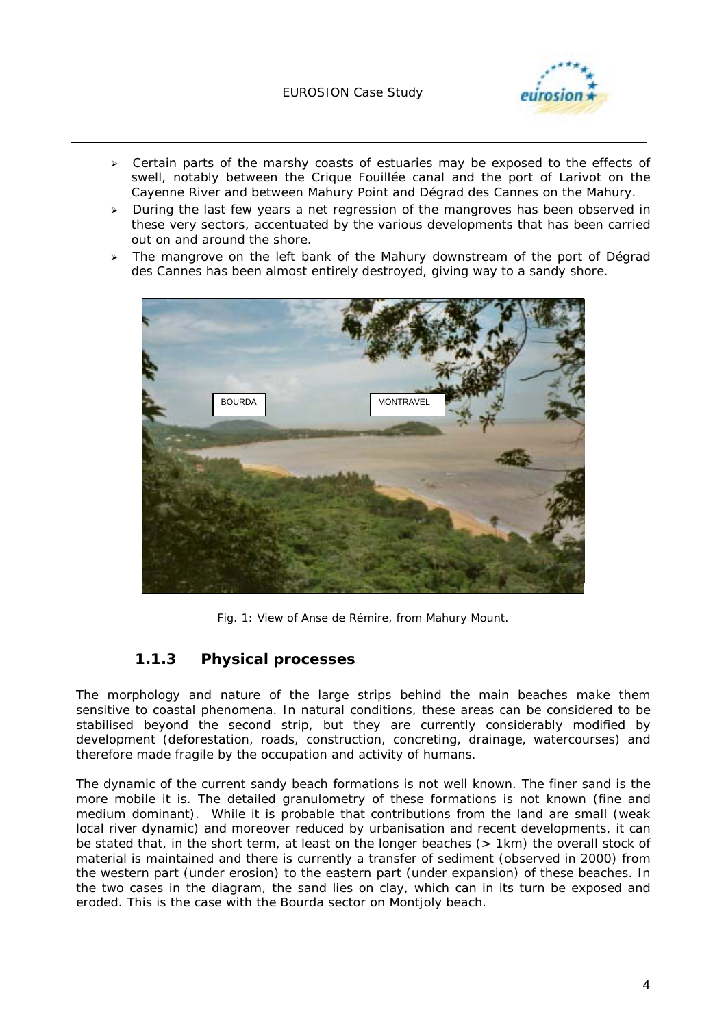### EUROSION Case Study



- > Certain parts of the marshy coasts of estuaries may be exposed to the effects of swell, notably between the Crique Fouillée canal and the port of Larivot on the Cayenne River and between Mahury Point and Dégrad des Cannes on the Mahury.
- > During the last few years a net regression of the mangroves has been observed in these very sectors, accentuated by the various developments that has been carried out on and around the shore.
- $\geq$  The mangrove on the left bank of the Mahury downstream of the port of Dégrad des Cannes has been almost entirely destroyed, giving way to a sandy shore.



*Fig. 1: View of Anse de Rémire, from Mahury Mount.* 

### **1.1.3 Physical processes**

The morphology and nature of the large strips behind the main beaches make them sensitive to coastal phenomena. In natural conditions, these areas can be considered to be stabilised beyond the second strip, but they are currently considerably modified by development (deforestation, roads, construction, concreting, drainage, watercourses) and therefore made fragile by the occupation and activity of humans.

The dynamic of the current sandy beach formations is not well known. The finer sand is the more mobile it is. The detailed granulometry of these formations is not known (fine and medium dominant). While it is probable that contributions from the land are small (weak local river dynamic) and moreover reduced by urbanisation and recent developments, it can be stated that, in the short term, at least on the longer beaches (> 1km) the overall stock of material is maintained and there is currently a transfer of sediment (observed in 2000) from the western part (under erosion) to the eastern part (under expansion) of these beaches. In the two cases in the diagram, the sand lies on clay, which can in its turn be exposed and eroded. This is the case with the Bourda sector on Montjoly beach.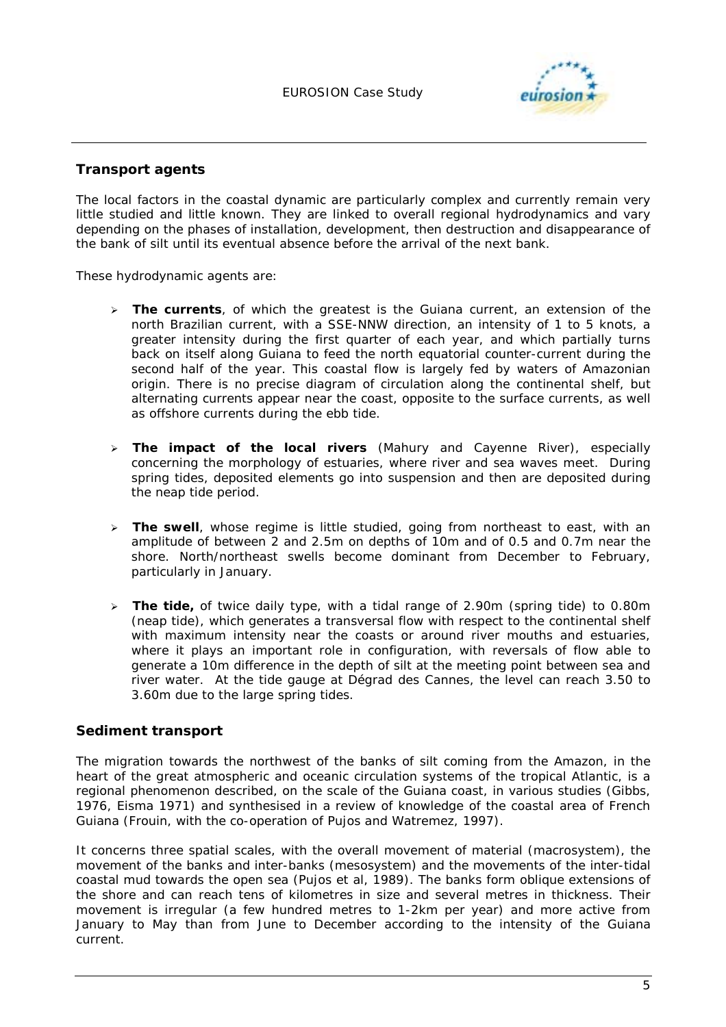

### **Transport agents**

The local factors in the coastal dynamic are particularly complex and currently remain very little studied and little known. They are linked to overall regional hydrodynamics and vary depending on the phases of installation, development, then destruction and disappearance of the bank of silt until its eventual absence before the arrival of the next bank.

These hydrodynamic agents are:

- > The currents, of which the greatest is the Guiana current, an extension of the north Brazilian current, with a SSE-NNW direction, an intensity of 1 to 5 knots, a greater intensity during the first quarter of each year, and which partially turns back on itself along Guiana to feed the north equatorial counter-current during the second half of the year. This coastal flow is largely fed by waters of Amazonian origin. There is no precise diagram of circulation along the continental shelf, but alternating currents appear near the coast, opposite to the surface currents, as well as offshore currents during the ebb tide.
- $\blacktriangleright$  **The impact of the local rivers** (Mahury and Cayenne River), especially concerning the morphology of estuaries, where river and sea waves meet. During spring tides, deposited elements go into suspension and then are deposited during the neap tide period.
- > The swell, whose regime is little studied, going from northeast to east, with an amplitude of between 2 and 2.5m on depths of 10m and of 0.5 and 0.7m near the shore. North/northeast swells become dominant from December to February, particularly in January.
- > The tide, of twice daily type, with a tidal range of 2.90m (spring tide) to 0.80m (neap tide), which generates a transversal flow with respect to the continental shelf with maximum intensity near the coasts or around river mouths and estuaries, where it plays an important role in configuration, with reversals of flow able to generate a 10m difference in the depth of silt at the meeting point between sea and river water. At the tide gauge at Dégrad des Cannes, the level can reach 3.50 to 3.60m due to the large spring tides.

### **Sediment transport**

The migration towards the northwest of the banks of silt coming from the Amazon, in the heart of the great atmospheric and oceanic circulation systems of the tropical Atlantic, is a regional phenomenon described, on the scale of the Guiana coast, in various studies (Gibbs, 1976, Eisma 1971) and synthesised in a review of knowledge of the coastal area of French Guiana (Frouin, with the co-operation of Pujos and Watremez, 1997).

It concerns three spatial scales, with the overall movement of material (macrosystem), the movement of the banks and inter-banks (mesosystem) and the movements of the inter-tidal coastal mud towards the open sea (Pujos et al, 1989). The banks form oblique extensions of the shore and can reach tens of kilometres in size and several metres in thickness. Their movement is irregular (a few hundred metres to 1-2km per year) and more active from January to May than from June to December according to the intensity of the Guiana current.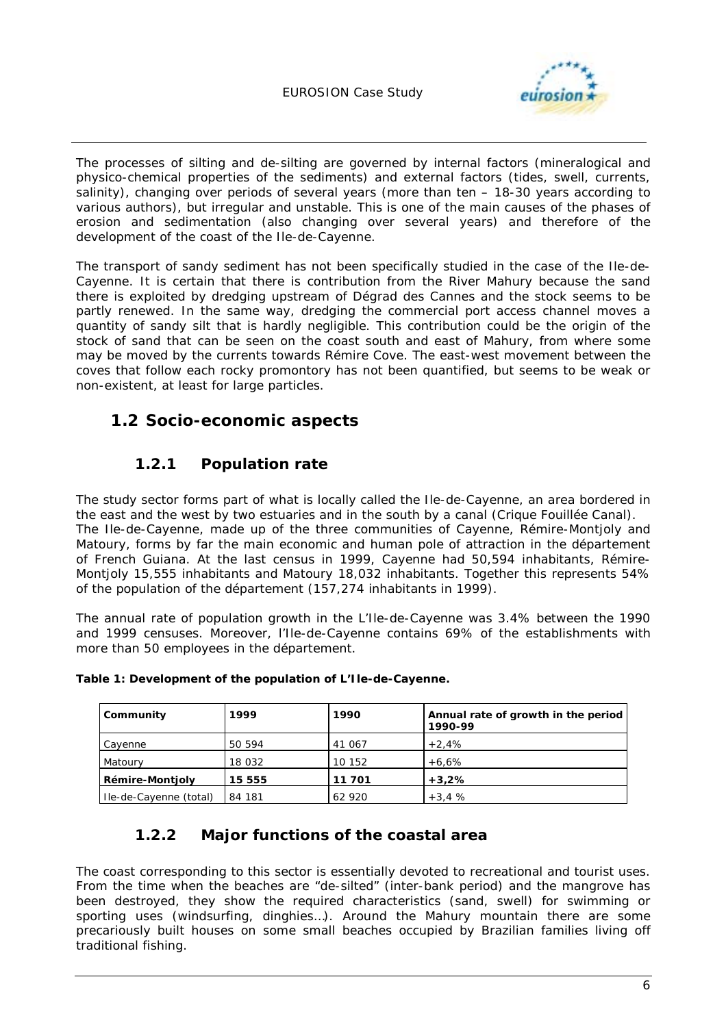

The processes of silting and de-silting are governed by internal factors (mineralogical and physico-chemical properties of the sediments) and external factors (tides, swell, currents, salinity), changing over periods of several years (more than ten – 18-30 years according to various authors), but irregular and unstable. This is one of the main causes of the phases of erosion and sedimentation (also changing over several years) and therefore of the development of the coast of the Ile-de-Cayenne.

The transport of sandy sediment has not been specifically studied in the case of the Ile-de-Cayenne. It is certain that there is contribution from the River Mahury because the sand there is exploited by dredging upstream of Dégrad des Cannes and the stock seems to be partly renewed. In the same way, dredging the commercial port access channel moves a quantity of sandy silt that is hardly negligible. This contribution could be the origin of the stock of sand that can be seen on the coast south and east of Mahury, from where some may be moved by the currents towards Rémire Cove. The east-west movement between the coves that follow each rocky promontory has not been quantified, but seems to be weak or non-existent, at least for large particles.

## **1.2 Socio-economic aspects**

## **1.2.1 Population rate**

The study sector forms part of what is locally called the Ile-de-Cayenne, an area bordered in the east and the west by two estuaries and in the south by a canal (Crique Fouillée Canal). The Ile-de-Cayenne, made up of the three communities of Cayenne, Rémire-Montjoly and Matoury, forms by far the main economic and human pole of attraction in the département of French Guiana. At the last census in 1999, Cayenne had 50,594 inhabitants, Rémire-Montjoly 15,555 inhabitants and Matoury 18,032 inhabitants. Together this represents 54% of the population of the *département* (157,274 inhabitants in 1999).

The annual rate of population growth in the L'Ile-de-Cayenne was 3.4% between the 1990 and 1999 censuses. Moreover, l'Ile-de-Cayenne contains 69% of the establishments with more than 50 employees in the *département*.

| Community              | 1999   | 1990   | Annual rate of growth in the period<br>1990-99 |
|------------------------|--------|--------|------------------------------------------------|
| Cavenne                | 50 594 | 41 067 | $+2.4%$                                        |
| Matoury                | 18 032 | 10 152 | $+6.6%$                                        |
| <b>Rémire-Montjoly</b> | 15 555 | 11701  | $+3.2%$                                        |
| Ile-de-Cayenne (total) | 84 181 | 62 920 | $+3.4%$                                        |

|  |  |  | Table 1: Development of the population of L'Ile-de-Cayenne. |
|--|--|--|-------------------------------------------------------------|
|--|--|--|-------------------------------------------------------------|

### **1.2.2 Major functions of the coastal area**

The coast corresponding to this sector is essentially devoted to recreational and tourist uses. From the time when the beaches are "de-silted" (inter-bank period) and the mangrove has been destroyed, they show the required characteristics (sand, swell) for swimming or sporting uses (windsurfing, dinghies…). Around the Mahury mountain there are some precariously built houses on some small beaches occupied by Brazilian families living off traditional fishing.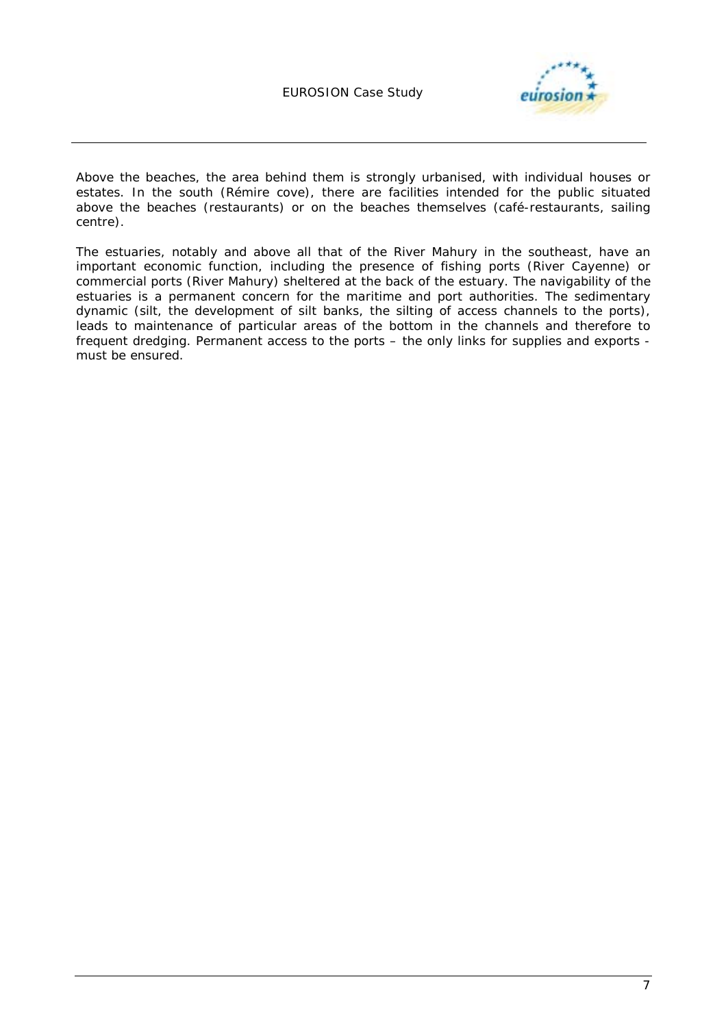

Above the beaches, the area behind them is strongly urbanised, with individual houses or estates. In the south (Rémire cove), there are facilities intended for the public situated above the beaches (restaurants) or on the beaches themselves (café-restaurants, sailing centre).

The estuaries, notably and above all that of the River Mahury in the southeast, have an important economic function, including the presence of fishing ports (River Cayenne) or commercial ports (River Mahury) sheltered at the back of the estuary. The navigability of the estuaries is a permanent concern for the maritime and port authorities. The sedimentary dynamic (silt, the development of silt banks, the silting of access channels to the ports), leads to maintenance of particular areas of the bottom in the channels and therefore to frequent dredging. Permanent access to the ports – the only links for supplies and exports must be ensured.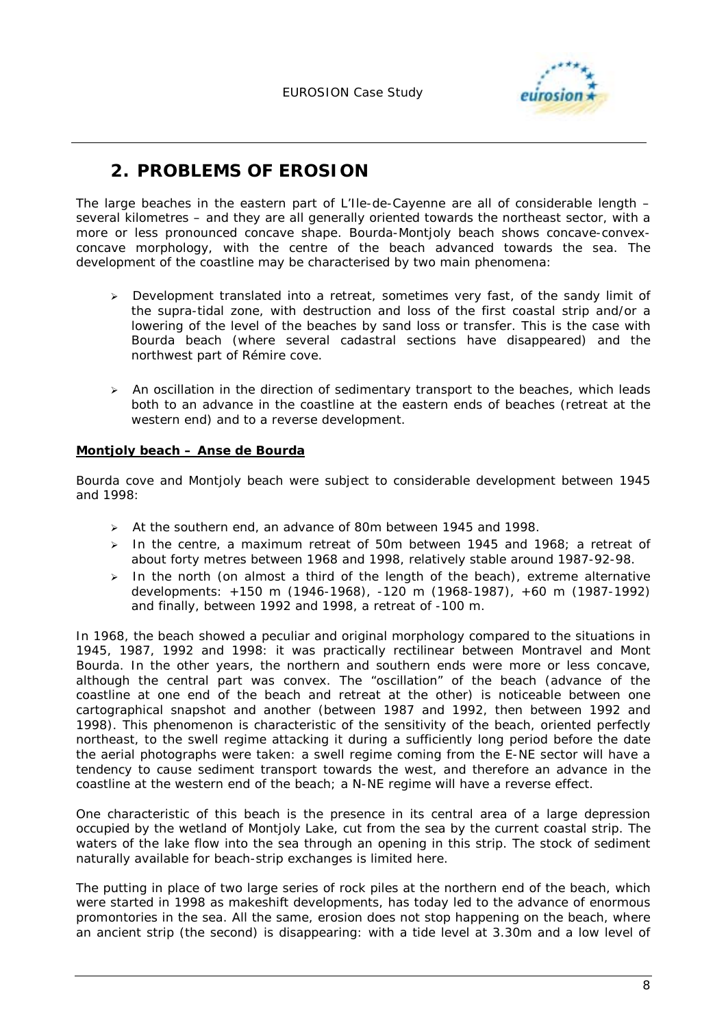

# **2. PROBLEMS OF EROSION**

The large beaches in the eastern part of L'Ile-de-Cayenne are all of considerable length – several kilometres – and they are all generally oriented towards the northeast sector, with a more or less pronounced concave shape. Bourda-Montjoly beach shows concave-convexconcave morphology, with the centre of the beach advanced towards the sea. The development of the coastline may be characterised by two main phenomena:

- $\blacktriangleright$  Development translated into a retreat, sometimes very fast, of the sandy limit of the supra-tidal zone, with destruction and loss of the first coastal strip and/or a lowering of the level of the beaches by sand loss or transfer. This is the case with Bourda beach (where several cadastral sections have disappeared) and the northwest part of Rémire cove.
- > An oscillation in the direction of sedimentary transport to the beaches, which leads both to an advance in the coastline at the eastern ends of beaches (retreat at the western end) and to a reverse development.

### **Montjoly beach – Anse de Bourda**

Bourda cove and Montjoly beach were subject to considerable development between 1945 and 1998:

- > At the southern end, an advance of 80m between 1945 and 1998.
- > In the centre, a maximum retreat of 50m between 1945 and 1968; a retreat of about forty metres between 1968 and 1998, relatively stable around 1987-92-98.
- $\blacktriangleright$  In the north (on almost a third of the length of the beach), extreme alternative developments: +150 m (1946-1968), -120 m (1968-1987), +60 m (1987-1992) and finally, between 1992 and 1998, a retreat of -100 m.

In 1968, the beach showed a peculiar and original morphology compared to the situations in 1945, 1987, 1992 and 1998: it was practically rectilinear between Montravel and Mont Bourda. In the other years, the northern and southern ends were more or less concave, although the central part was convex. The "oscillation" of the beach (advance of the coastline at one end of the beach and retreat at the other) is noticeable between one cartographical snapshot and another (between 1987 and 1992, then between 1992 and 1998). This phenomenon is characteristic of the sensitivity of the beach, oriented perfectly northeast, to the swell regime attacking it during a sufficiently long period before the date the aerial photographs were taken: a swell regime coming from the E-NE sector will have a tendency to cause sediment transport towards the west, and therefore an advance in the coastline at the western end of the beach; a N-NE regime will have a reverse effect.

One characteristic of this beach is the presence in its central area of a large depression occupied by the wetland of Montjoly Lake, cut from the sea by the current coastal strip. The waters of the lake flow into the sea through an opening in this strip. The stock of sediment naturally available for beach-strip exchanges is limited here.

The putting in place of two large series of rock piles at the northern end of the beach, which were started in 1998 as makeshift developments, has today led to the advance of enormous promontories in the sea. All the same, erosion does not stop happening on the beach, where an ancient strip (the second) is disappearing: with a tide level at 3.30m and a low level of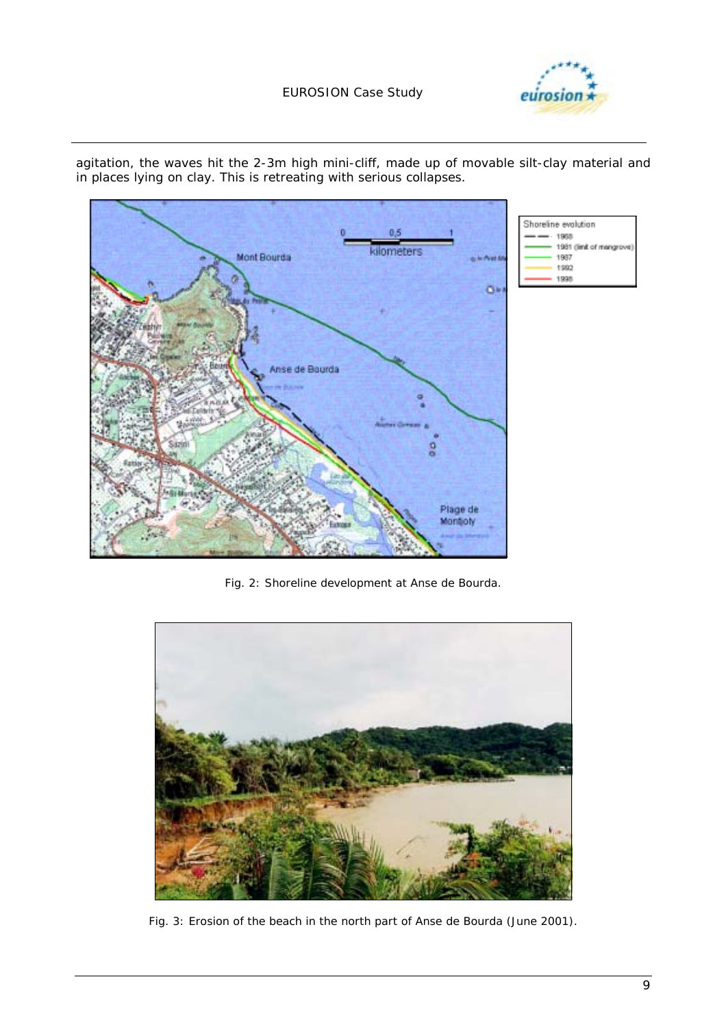### EUROSION Case Study





agitation, the waves hit the 2-3m high mini-cliff, made up of movable silt-clay material and in places lying on clay. This is retreating with serious collapses.

*Fig. 2: Shoreline development at Anse de Bourda.* 



*Fig. 3: Erosion of the beach in the north part of Anse de Bourda (June 2001).*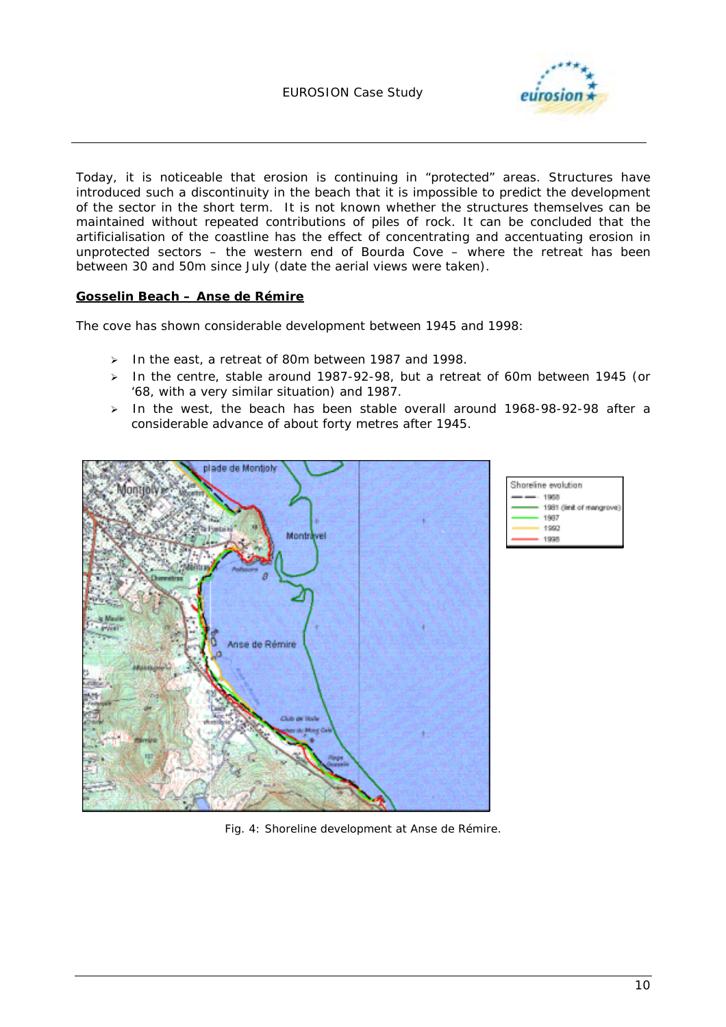

Today, it is noticeable that erosion is continuing in "protected" areas. Structures have introduced such a discontinuity in the beach that it is impossible to predict the development of the sector in the short term. It is not known whether the structures themselves can be maintained without repeated contributions of piles of rock. It can be concluded that the artificialisation of the coastline has the effect of concentrating and accentuating erosion in unprotected sectors – the western end of Bourda Cove – where the retreat has been between 30 and 50m since July (date the aerial views were taken).

### **Gosselin Beach – Anse de Rémire**

The cove has shown considerable development between 1945 and 1998:

- > In the east, a retreat of 80m between 1987 and 1998.
- > In the centre, stable around 1987-92-98, but a retreat of 60m between 1945 (or '68, with a very similar situation) and 1987.
- In the west, the beach has been stable overall around 1968-98-92-98 after a considerable advance of about forty metres after 1945.





*Fig. 4: Shoreline development at Anse de Rémire.*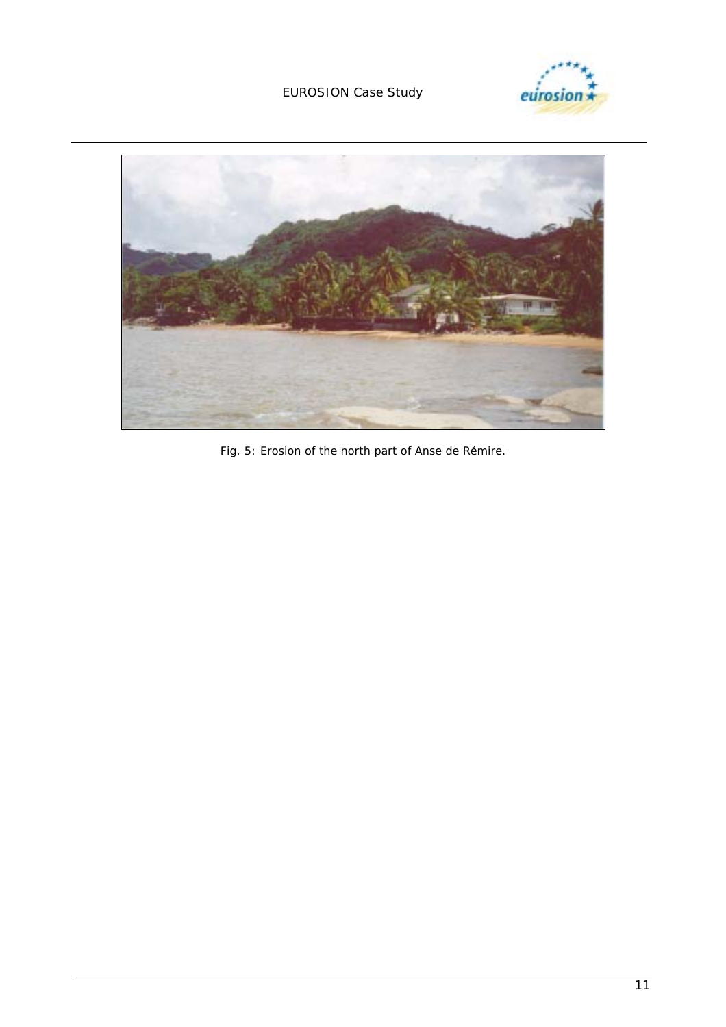





*Fig. 5: Erosion of the north part of Anse de Rémire.*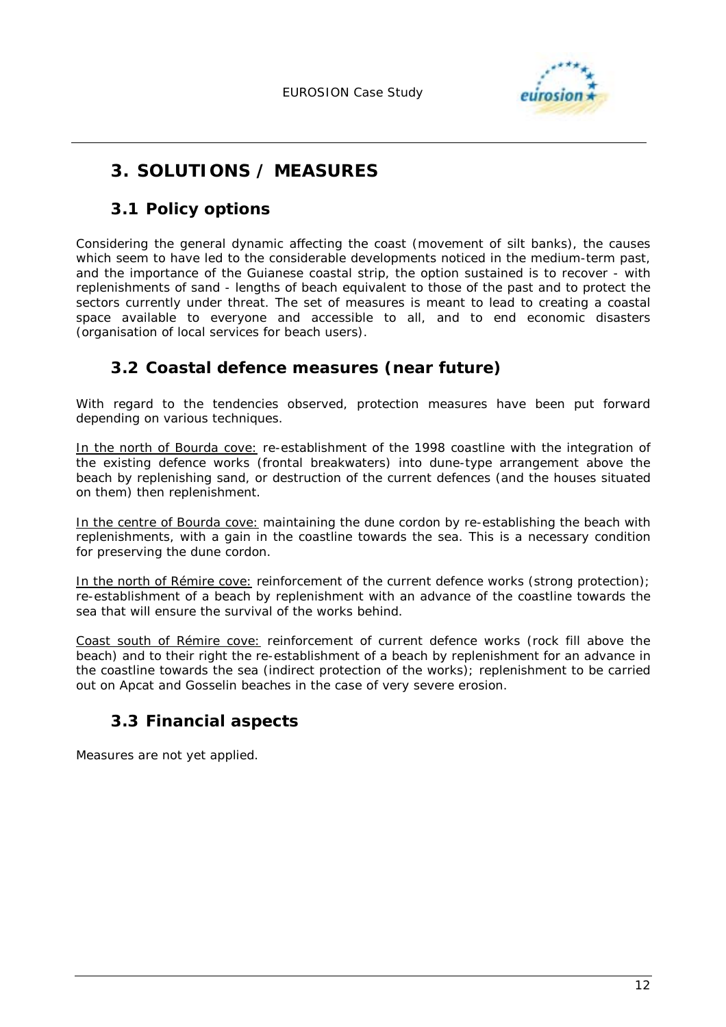

# **3. SOLUTIONS / MEASURES**

### **3.1 Policy options**

Considering the general dynamic affecting the coast (movement of silt banks), the causes which seem to have led to the considerable developments noticed in the medium-term past, and the importance of the Guianese coastal strip, the option sustained is to recover - with replenishments of sand - lengths of beach equivalent to those of the past and to protect the sectors currently under threat. The set of measures is meant to lead to creating a coastal space available to everyone and accessible to all, and to end economic disasters (organisation of local services for beach users).

## **3.2 Coastal defence measures (near future)**

With regard to the tendencies observed, protection measures have been put forward depending on various techniques.

In the north of Bourda cove: re-establishment of the 1998 coastline with the integration of the existing defence works (frontal breakwaters) into dune-type arrangement above the beach by replenishing sand, or destruction of the current defences (and the houses situated on them) then replenishment.

In the centre of Bourda cove: maintaining the dune cordon by re-establishing the beach with replenishments, with a gain in the coastline towards the sea. This is a necessary condition for preserving the dune cordon.

In the north of Rémire cove: reinforcement of the current defence works (strong protection); re-establishment of a beach by replenishment with an advance of the coastline towards the sea that will ensure the survival of the works behind.

Coast south of Rémire cove: reinforcement of current defence works (rock fill above the beach) and to their right the re-establishment of a beach by replenishment for an advance in the coastline towards the sea (indirect protection of the works); replenishment to be carried out on Apcat and Gosselin beaches in the case of very severe erosion.

## **3.3 Financial aspects**

Measures are not yet applied.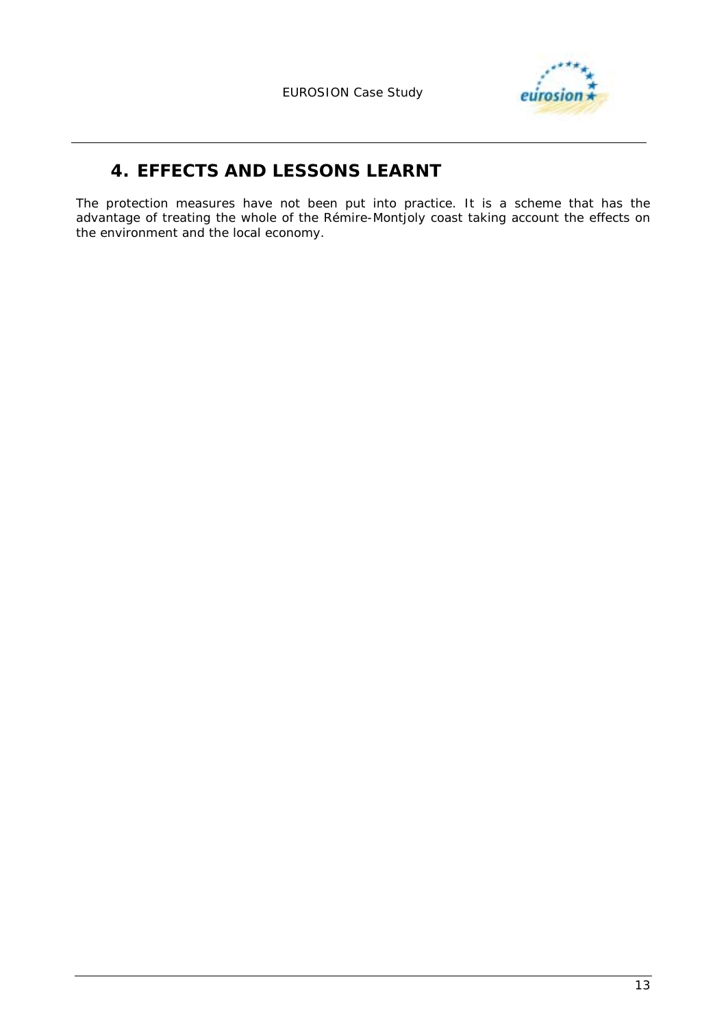

# **4. EFFECTS AND LESSONS LEARNT**

The protection measures have not been put into practice. It is a scheme that has the advantage of treating the whole of the Rémire-Montjoly coast taking account the effects on the environment and the local economy.